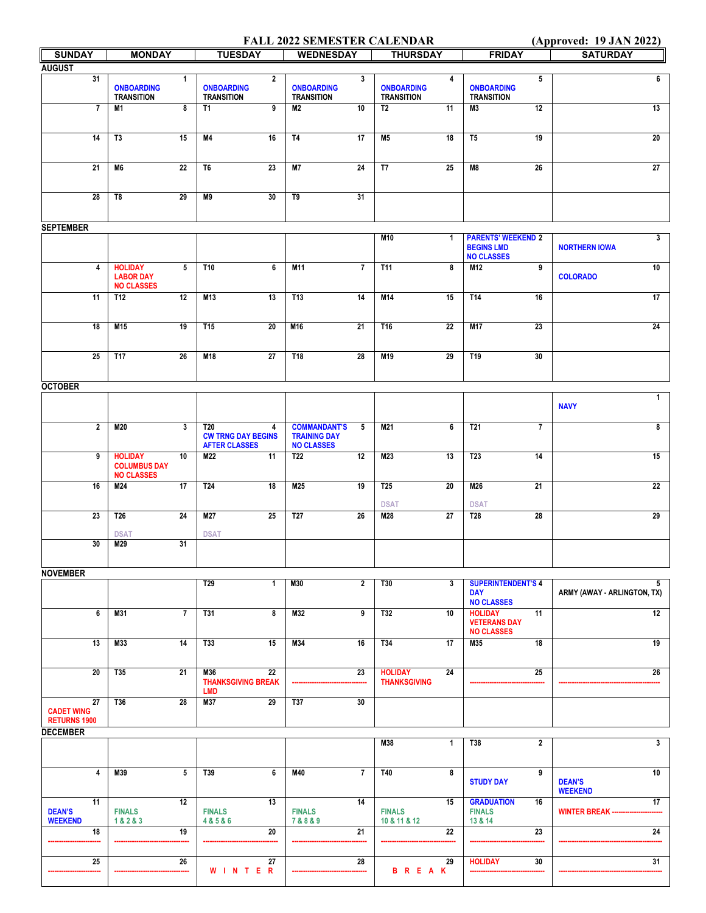## **FALL 2022 SEMESTER CALENDAR (Approved: 19 JAN 2022)**

|                     |                     |                         |                                                   |                | <b>FALL 2022 SEMIESTER CALERDAN</b>      |                 |                                       |              |                                        |                 | (Approved. 1) JAR 2022)         |
|---------------------|---------------------|-------------------------|---------------------------------------------------|----------------|------------------------------------------|-----------------|---------------------------------------|--------------|----------------------------------------|-----------------|---------------------------------|
| <b>SUNDAY</b>       | <b>MONDAY</b>       |                         | <b>TUESDAY</b>                                    |                | <b>WEDNESDAY</b>                         |                 | <b>THURSDAY</b>                       |              | <b>FRIDAY</b>                          |                 | <b>SATURDAY</b>                 |
| <b>AUGUST</b>       |                     |                         |                                                   |                |                                          |                 |                                       |              |                                        |                 |                                 |
| 31                  | <b>ONBOARDING</b>   | $\mathbf{1}$            | <b>ONBOARDING</b>                                 | $\overline{2}$ | <b>ONBOARDING</b>                        | 3               | <b>ONBOARDING</b>                     | 4            | <b>ONBOARDING</b>                      | 5               | 6                               |
|                     | <b>TRANSITION</b>   |                         | <b>TRANSITION</b>                                 |                | <b>TRANSITION</b>                        |                 | <b>TRANSITION</b>                     |              | <b>TRANSITION</b>                      |                 |                                 |
| $\overline{7}$      | M1                  | $\overline{\mathbf{8}}$ | T1                                                | 9              | M <sub>2</sub>                           | 10              | T2                                    | 11           | M <sub>3</sub>                         | $\overline{12}$ | 13                              |
|                     |                     |                         |                                                   |                |                                          |                 |                                       |              |                                        |                 |                                 |
|                     |                     |                         |                                                   |                |                                          |                 |                                       |              |                                        |                 |                                 |
| 14                  | T <sub>3</sub>      | 15                      | M4                                                | 16             | <b>T4</b>                                | 17              | <b>M5</b>                             | 18           | T <sub>5</sub>                         | $\overline{19}$ | 20                              |
|                     |                     |                         |                                                   |                |                                          |                 |                                       |              |                                        |                 |                                 |
| 21                  | M6                  | 22                      | T6                                                | 23             | <b>M7</b>                                | 24              | T7                                    | 25           | M8                                     | 26              | 27                              |
|                     |                     |                         |                                                   |                |                                          |                 |                                       |              |                                        |                 |                                 |
| 28                  | T8                  | 29                      | M9                                                | 30             | T9                                       | 31              |                                       |              |                                        |                 |                                 |
|                     |                     |                         |                                                   |                |                                          |                 |                                       |              |                                        |                 |                                 |
|                     |                     |                         |                                                   |                |                                          |                 |                                       |              |                                        |                 |                                 |
| <b>SEPTEMBER</b>    |                     |                         |                                                   |                |                                          |                 |                                       |              |                                        |                 |                                 |
|                     |                     |                         |                                                   |                |                                          |                 | M10                                   | $\mathbf{1}$ | <b>PARENTS' WEEKEND 2</b>              |                 | $\mathbf{3}$                    |
|                     |                     |                         |                                                   |                |                                          |                 |                                       |              | <b>BEGINS LMD</b><br><b>NO CLASSES</b> |                 | <b>NORTHERN IOWA</b>            |
| $\overline{4}$      | <b>HOLIDAY</b>      | 5                       | T10                                               | 6              | <b>M11</b>                               | $\overline{7}$  | T11                                   | 8            | M12                                    | 9               | 10                              |
|                     | <b>LABOR DAY</b>    |                         |                                                   |                |                                          |                 |                                       |              |                                        |                 | <b>COLORADO</b>                 |
|                     | <b>NO CLASSES</b>   |                         |                                                   |                |                                          |                 |                                       |              |                                        |                 |                                 |
| 11                  | <b>T12</b>          | 12                      | M13                                               | 13             | T13                                      | 14              | M14                                   | 15           | T14                                    | 16              | 17                              |
|                     |                     |                         |                                                   |                |                                          |                 |                                       |              |                                        |                 |                                 |
| 18                  | M15                 | 19                      | T <sub>15</sub>                                   | 20             | M16                                      | 21              | T16                                   | 22           | M17                                    | 23              | 24                              |
|                     |                     |                         |                                                   |                |                                          |                 |                                       |              |                                        |                 |                                 |
|                     |                     |                         |                                                   |                |                                          |                 |                                       |              |                                        |                 |                                 |
| $\overline{25}$     | <b>T17</b>          | 26                      | M18                                               | 27             | T18                                      | 28              | M19                                   | 29           | T <sub>19</sub>                        | 30              |                                 |
|                     |                     |                         |                                                   |                |                                          |                 |                                       |              |                                        |                 |                                 |
| <b>OCTOBER</b>      |                     |                         |                                                   |                |                                          |                 |                                       |              |                                        |                 |                                 |
|                     |                     |                         |                                                   |                |                                          |                 |                                       |              |                                        |                 | $\mathbf{1}$                    |
|                     |                     |                         |                                                   |                |                                          |                 |                                       |              |                                        |                 | <b>NAVY</b>                     |
|                     |                     |                         |                                                   |                |                                          |                 |                                       |              |                                        |                 |                                 |
| $\overline{2}$      | <b>M20</b>          | $\overline{3}$          | <b>T20</b>                                        | 4              | <b>COMMANDANT'S</b>                      | $5\overline{ }$ | M21                                   | 6            | T21                                    | $\overline{7}$  | 8                               |
|                     |                     |                         | <b>CW TRNG DAY BEGINS</b><br><b>AFTER CLASSES</b> |                | <b>TRAINING DAY</b><br><b>NO CLASSES</b> |                 |                                       |              |                                        |                 |                                 |
| 9                   | <b>HOLIDAY</b>      | 10                      | M22                                               | 11             | T <sub>22</sub>                          | 12              | M23                                   | 13           | <b>T23</b>                             | 14              | 15                              |
|                     | <b>COLUMBUS DAY</b> |                         |                                                   |                |                                          |                 |                                       |              |                                        |                 |                                 |
|                     | <b>NO CLASSES</b>   |                         |                                                   |                |                                          |                 |                                       |              |                                        |                 |                                 |
| 16                  | M24                 | 17                      | T24                                               | 18             | M <sub>25</sub>                          | 19              | T25                                   | 20           | M26                                    | 21              | 22                              |
|                     |                     |                         |                                                   |                |                                          |                 | <b>DSAT</b>                           |              | <b>DSAT</b>                            |                 |                                 |
| 23                  | <b>T26</b>          | 24                      | M27                                               | 25             | <b>T27</b>                               | 26              | M28                                   | 27           | <b>T28</b>                             | 28              | 29                              |
|                     |                     |                         |                                                   |                |                                          |                 |                                       |              |                                        |                 |                                 |
|                     | <b>DSAT</b>         |                         | <b>DSAT</b>                                       |                |                                          |                 |                                       |              |                                        |                 |                                 |
| 30                  | M29                 | 31                      |                                                   |                |                                          |                 |                                       |              |                                        |                 |                                 |
|                     |                     |                         |                                                   |                |                                          |                 |                                       |              |                                        |                 |                                 |
| <b>NOVEMBER</b>     |                     |                         |                                                   |                |                                          |                 |                                       |              |                                        |                 |                                 |
|                     |                     |                         | T <sub>29</sub>                                   | $\mathbf 1$    | M30                                      | $\mathbf{2}$    | T30                                   | 3            | <b>SUPERINTENDENT'S 4</b>              |                 | 5                               |
|                     |                     |                         |                                                   |                |                                          |                 |                                       |              | <b>DAY</b>                             |                 | ARMY (AWAY - ARLINGTON, TX)     |
|                     |                     |                         |                                                   |                |                                          |                 |                                       |              | <b>NO CLASSES</b>                      |                 |                                 |
| $6\overline{6}$     | M31                 | $\overline{7}$          | T31                                               | 8              | M <sub>32</sub>                          | <u>g</u>        | T32                                   | 10           | <b>HOLIDAY</b><br><b>VETERANS DAY</b>  | 11              | 12                              |
|                     |                     |                         |                                                   |                |                                          |                 |                                       |              | <b>NO CLASSES</b>                      |                 |                                 |
| 13                  | M33                 | 14                      | T33                                               | 15             | M34                                      | 16              | T34                                   | 17           | M35                                    | 18              | 19                              |
|                     |                     |                         |                                                   |                |                                          |                 |                                       |              |                                        |                 |                                 |
|                     |                     |                         |                                                   |                |                                          |                 |                                       |              |                                        |                 |                                 |
| 20                  | T35                 | 21                      | M36<br><b>THANKSGIVING BREAK</b>                  | 22             |                                          | 23              | <b>HOLIDAY</b><br><b>THANKSGIVING</b> | 24           |                                        | 25              | 26                              |
|                     |                     |                         | <b>LMD</b>                                        |                |                                          |                 |                                       |              |                                        |                 |                                 |
| 27                  | T36                 | 28                      | M37                                               | 29             | <b>T37</b>                               | 30              |                                       |              |                                        |                 |                                 |
| <b>CADET WING</b>   |                     |                         |                                                   |                |                                          |                 |                                       |              |                                        |                 |                                 |
| <b>RETURNS 1900</b> |                     |                         |                                                   |                |                                          |                 |                                       |              |                                        |                 |                                 |
| <b>DECEMBER</b>     |                     |                         |                                                   |                |                                          |                 | M38                                   | $\mathbf{1}$ | T38                                    | $\overline{2}$  | 3                               |
|                     |                     |                         |                                                   |                |                                          |                 |                                       |              |                                        |                 |                                 |
|                     |                     |                         |                                                   |                |                                          |                 |                                       |              |                                        |                 |                                 |
| $\overline{4}$      | M39                 | $\overline{5}$          | T39                                               | 6              | M40                                      | $\overline{7}$  | T40                                   | 8            |                                        | 9               | 10                              |
|                     |                     |                         |                                                   |                |                                          |                 |                                       |              | <b>STUDY DAY</b>                       |                 | <b>DEAN'S</b><br><b>WEEKEND</b> |
| 11                  |                     | 12                      |                                                   | 13             |                                          | 14              |                                       | 15           | <b>GRADUATION</b>                      | 16              | 17                              |
| <b>DEAN'S</b>       | <b>FINALS</b>       |                         | <b>FINALS</b>                                     |                | <b>FINALS</b>                            |                 | <b>FINALS</b>                         |              | <b>FINALS</b>                          |                 | <b>WINTER BREAK -</b>           |
| <b>WEEKEND</b>      | 1&2&3               |                         | 4 & 5 & 6                                         |                | 7 & 8 & 9                                |                 | 10 & 11 & 12                          |              | 13 & 14                                |                 |                                 |
| 18                  |                     | 19                      |                                                   | 20             |                                          | 21              |                                       | 22           |                                        | 23              | 24                              |
|                     |                     |                         |                                                   |                |                                          |                 |                                       |              |                                        |                 |                                 |
| 25                  |                     | 26                      |                                                   | 27             |                                          | 28              |                                       | 29           | <b>HOLIDAY</b>                         | 30              | 31                              |
|                     |                     |                         | WINTER                                            |                |                                          |                 | <b>BREAK</b>                          |              |                                        |                 |                                 |
|                     |                     |                         |                                                   |                |                                          |                 |                                       |              |                                        |                 |                                 |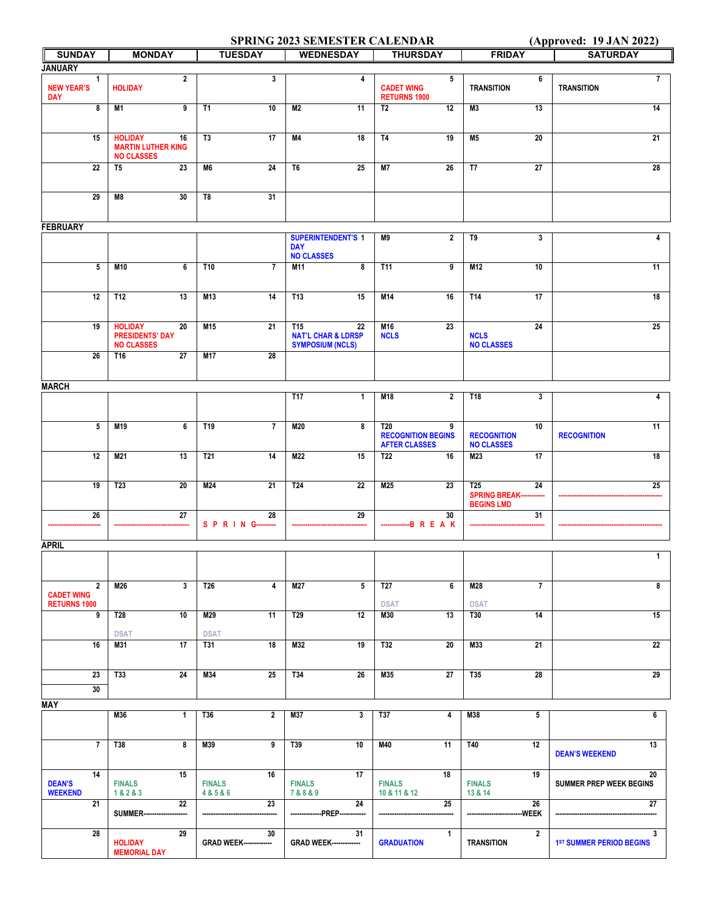## **SPRING 2023 SEMESTER CALENDAR** (Approved: 19 JAN 2022)

| <b>SUNDAY</b>                                              | <b>MONDAY</b>                                                          | <b>TUESDAY</b>                      | <b>WEDNESDAY</b>                                                      | <b>THURSDAY</b>                                                      | <b>FRIDAY</b>                                                        | <b>SATURDAY</b>                      |
|------------------------------------------------------------|------------------------------------------------------------------------|-------------------------------------|-----------------------------------------------------------------------|----------------------------------------------------------------------|----------------------------------------------------------------------|--------------------------------------|
| <b>JANUARY</b>                                             |                                                                        |                                     |                                                                       |                                                                      |                                                                      |                                      |
| 1<br><b>NEW YEAR'S</b><br><b>DAY</b>                       | $\overline{2}$<br><b>HOLIDAY</b>                                       | $\overline{\mathbf{3}}$             | 4                                                                     | $5\phantom{.0}$<br><b>CADET WING</b><br><b>RETURNS 1900</b>          | 6<br><b>TRANSITION</b>                                               | $\overline{7}$<br><b>TRANSITION</b>  |
| $\overline{\mathbf{8}}$                                    | M1<br>$\overline{9}$                                                   | <b>T1</b><br>10                     | M <sub>2</sub><br>11                                                  | <b>T2</b><br>12                                                      | 13<br>M <sub>3</sub>                                                 | 14                                   |
| 15                                                         | <b>HOLIDAY</b><br>16<br><b>MARTIN LUTHER KING</b><br><b>NO CLASSES</b> | T <sub>3</sub><br>17                | M4<br>18                                                              | <b>T4</b><br>19                                                      | 20<br><b>M5</b>                                                      | 21                                   |
| 22                                                         | 23<br>T <sub>5</sub>                                                   | M6<br>24                            | T <sub>6</sub><br>25                                                  | <b>M7</b><br>26                                                      | T7<br>27                                                             | 28                                   |
| 29                                                         | 30<br>M8                                                               | T8<br>31                            |                                                                       |                                                                      |                                                                      |                                      |
| <b>FEBRUARY</b>                                            |                                                                        |                                     |                                                                       |                                                                      |                                                                      |                                      |
|                                                            |                                                                        |                                     | <b>SUPERINTENDENT'S 1</b><br><b>DAY</b><br><b>NO CLASSES</b>          | M9<br>$\overline{2}$                                                 | T9<br>3                                                              | 4                                    |
| $5\phantom{.0}$                                            | M10<br>6                                                               | T10<br>$\overline{7}$               | M11<br>8                                                              | <b>T11</b><br>9                                                      | M12<br>10                                                            | 11                                   |
| $\overline{12}$                                            | T12<br>13                                                              | M13<br>14                           | T13<br>15                                                             | M14<br>16                                                            | T14<br>17                                                            | 18                                   |
| 19                                                         | <b>HOLIDAY</b><br>20<br><b>PRESIDENTS' DAY</b><br><b>NO CLASSES</b>    | M15<br>21                           | T15<br>22<br><b>NAT'L CHAR &amp; LDRSP</b><br><b>SYMPOSIUM (NCLS)</b> | M16<br>23<br><b>NCLS</b>                                             | 24<br><b>NCLS</b><br><b>NO CLASSES</b>                               | 25                                   |
| 26                                                         | 27<br>T16                                                              | M17<br>28                           |                                                                       |                                                                      |                                                                      |                                      |
| <b>MARCH</b>                                               |                                                                        |                                     |                                                                       |                                                                      |                                                                      |                                      |
|                                                            |                                                                        |                                     | <b>T17</b><br>$\mathbf{1}$                                            | $\overline{2}$<br>M18                                                | T18<br>3                                                             | 4                                    |
| $\overline{5}$                                             | M19<br>6                                                               | T19<br>$\overline{7}$               | M20<br>8                                                              | <b>T20</b><br>9<br><b>RECOGNITION BEGINS</b><br><b>AFTER CLASSES</b> | 10<br><b>RECOGNITION</b><br><b>NO CLASSES</b>                        | 11<br><b>RECOGNITION</b>             |
| 12                                                         | M21<br>13                                                              | T <sub>21</sub><br>14               | M22<br>15                                                             | T <sub>22</sub><br>16                                                | M23<br>17                                                            | 18                                   |
| 19                                                         | 20<br>T <sub>23</sub>                                                  | M24<br>21                           | T <sub>24</sub><br>22                                                 | M25<br>23                                                            | T <sub>25</sub><br>24<br><b>SPRING BREAK---</b><br><b>BEGINS LMD</b> | 25                                   |
| 26                                                         | 27                                                                     | 28<br>S P R I N G----<br>           | 29                                                                    | 30<br>-BREAK                                                         | 31                                                                   |                                      |
| <b>APRIL</b>                                               |                                                                        |                                     |                                                                       |                                                                      |                                                                      |                                      |
|                                                            |                                                                        |                                     |                                                                       |                                                                      |                                                                      | $\mathbf{1}$                         |
| $\overline{2}$<br><b>CADET WING</b><br><b>RETURNS 1900</b> | M26<br>$\mathbf{3}$                                                    | T <sub>26</sub><br>4                | $5\phantom{.0}$<br>M27                                                | T <sub>27</sub><br>6<br><b>DSAT</b>                                  | $\overline{7}$<br>M28<br><b>DSAT</b>                                 | 8                                    |
| 9                                                          | T28<br>10<br><b>DSAT</b>                                               | M29<br>11<br><b>DSAT</b>            | 12<br>T <sub>29</sub>                                                 | 13<br>M30                                                            | <b>T30</b><br>14                                                     | 15                                   |
| 16                                                         | 17<br>M31                                                              | <b>T31</b><br>18                    | 19<br>M32                                                             | T32<br>20                                                            | M33<br>21                                                            | 22                                   |
| 23<br>30                                                   | 24<br>T33                                                              | M34<br>25                           | T34<br>26                                                             | M35<br>27                                                            | T35<br>28                                                            | 29                                   |
| <b>MAY</b>                                                 |                                                                        |                                     |                                                                       |                                                                      |                                                                      |                                      |
|                                                            | M36<br>$\mathbf{1}$                                                    | T36<br>$\mathbf{2}$                 | M37<br>3                                                              | $\overline{4}$<br>T37                                                | M38<br>5                                                             | 6                                    |
| $\overline{7}$                                             | <b>T38</b><br>8                                                        | M39<br>9                            | T39<br>10                                                             | M40<br>11                                                            | 12<br>T40                                                            | 13<br><b>DEAN'S WEEKEND</b>          |
| 14<br><b>DEAN'S</b><br><b>WEEKEND</b>                      | 15<br><b>FINALS</b><br>1&2&3                                           | 16<br><b>FINALS</b><br>4 & 5 & 6    | 17<br><b>FINALS</b><br>7&8&9                                          | 18<br><b>FINALS</b><br>10 & 11 & 12                                  | 19<br><b>FINALS</b><br>13 & 14                                       | 20<br><b>SUMMER PREP WEEK BEGINS</b> |
| 21                                                         | 22<br>SUMMER----                                                       | 23                                  | 24<br>--------------PREP-----                                         | 25                                                                   | 26<br>-WEEK<br>-------                                               | 27                                   |
| 28                                                         | 29<br><b>HOLIDAY</b><br><b>MEMORIAL DAY</b>                            | 30<br><b>GRAD WEEK-------------</b> | 31<br><b>GRAD WEEK-------------</b>                                   | $\mathbf{1}$<br><b>GRADUATION</b>                                    | $\overline{\mathbf{2}}$<br><b>TRANSITION</b>                         | 3<br><b>1ST SUMMER PERIOD BEGINS</b> |